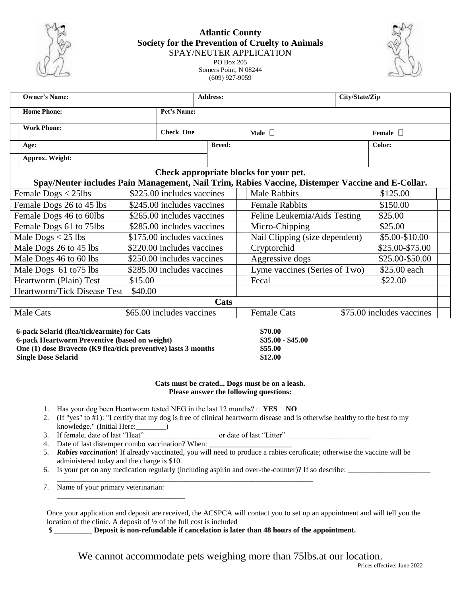

## **Atlantic County Society for the Prevention of Cruelty to Animals** SPAY/NEUTER APPLICATION PO Box 205

Somers Point, N 08244 (609) 927-9059



| Owner's Name:                                                                                    |                            |                  | <b>Address:</b> |                                | City/State/Zip            |                 |  |
|--------------------------------------------------------------------------------------------------|----------------------------|------------------|-----------------|--------------------------------|---------------------------|-----------------|--|
| <b>Home Phone:</b>                                                                               |                            | Pet's Name:      |                 |                                |                           |                 |  |
| <b>Work Phone:</b>                                                                               |                            | <b>Check One</b> |                 | Male $\Box$                    |                           | Female $\Box$   |  |
| Age:                                                                                             |                            |                  | <b>Breed:</b>   |                                |                           | Color:          |  |
| Approx. Weight:                                                                                  |                            |                  |                 |                                |                           |                 |  |
| Check appropriate blocks for your pet.                                                           |                            |                  |                 |                                |                           |                 |  |
| Spay/Neuter includes Pain Management, Nail Trim, Rabies Vaccine, Distemper Vaccine and E-Collar. |                            |                  |                 |                                |                           |                 |  |
| Female $\text{Dogs} < 25 \text{lbs}$                                                             | \$225.00 includes vaccines |                  |                 | <b>Male Rabbits</b>            |                           | \$125.00        |  |
| Female Dogs 26 to 45 lbs                                                                         | \$245.00 includes vaccines |                  |                 | <b>Female Rabbits</b>          |                           | \$150.00        |  |
| Female Dogs 46 to 60lbs                                                                          | \$265.00 includes vaccines |                  |                 | Feline Leukemia/Aids Testing   |                           | \$25.00         |  |
| Female Dogs 61 to 75lbs                                                                          | \$285.00 includes vaccines |                  |                 | Micro-Chipping                 |                           | \$25.00         |  |
| Male $\text{Dogs}$ < 25 lbs                                                                      | \$175.00 includes vaccines |                  |                 | Nail Clipping (size dependent) |                           | \$5.00-\$10.00  |  |
| Male Dogs 26 to 45 lbs                                                                           | \$220.00 includes vaccines |                  |                 | Cryptorchid                    |                           | \$25.00-\$75.00 |  |
| Male Dogs 46 to 60 lbs                                                                           | \$250.00 includes vaccines |                  |                 | Aggressive dogs                |                           | \$25.00-\$50.00 |  |
| Male Dogs 61 to 75 lbs                                                                           | \$285.00 includes vaccines |                  |                 | Lyme vaccines (Series of Two)  |                           | \$25.00 each    |  |
| Heartworm (Plain) Test                                                                           | \$15.00                    |                  |                 | Fecal                          |                           | \$22.00         |  |
| <b>Heartworm/Tick Disease Test</b>                                                               | \$40.00                    |                  |                 |                                |                           |                 |  |
| Cats                                                                                             |                            |                  |                 |                                |                           |                 |  |
| Male Cats                                                                                        | \$65.00 includes vaccines  |                  |                 | <b>Female Cats</b>             | \$75.00 includes vaccines |                 |  |
|                                                                                                  |                            |                  |                 |                                |                           |                 |  |

| 6-pack Selarid (flea/tick/earmite) for Cats                    | \$70.00           |  |
|----------------------------------------------------------------|-------------------|--|
| 6-pack Heartworm Preventive (based on weight)                  | $$35.00 - $45.00$ |  |
| One (1) dose Bravecto (K9 flea/tick preventive) lasts 3 months | \$55.00           |  |
| <b>Single Dose Selarid</b>                                     | \$12.00           |  |

## **Cats must be crated... Dogs must be on a leash. Please answer the following questions:**

- 1. Has your dog been Heartworm tested NEG in the last 12 months? □ **YES** □ **NO**
- 2. (If "yes" to #1): "I certify that my dog is free of clinical heartworm disease and is otherwise healthy to the best fo my knowledge." (Initial Here:\_\_\_\_\_\_\_\_)

3. If female, date of last "Heat" or date of last "Litter"  $\overline{a}$ 

4. Date of last distemper combo vaccination? When:

\_\_\_\_\_\_\_\_\_\_\_\_\_\_\_\_\_\_\_\_\_\_\_\_\_\_\_\_\_\_\_\_\_\_

- 5. *Rabies vaccination*! If already vaccinated, you will need to produce a rabies certificate; otherwise the vaccine will be administered today and the charge is \$10.
- 6. Is your pet on any medication regularly (including aspirin and over-the-counter)? If so describe: \_\_\_\_\_\_\_\_\_

\_\_\_\_\_\_\_\_\_\_\_\_\_\_\_\_\_\_\_\_\_\_\_\_\_\_\_\_\_\_\_\_\_\_\_\_\_\_\_\_\_\_\_\_\_\_\_\_\_\_\_\_\_\_\_\_\_\_\_\_\_\_\_\_\_\_\_\_

7. Name of your primary veterinarian:

Once your application and deposit are received, the ACSPCA will contact you to set up an appointment and will tell you the location of the clinic. A deposit of ½ of the full cost is included

\$ \_\_\_\_\_\_\_\_\_\_ **Deposit is non-refundable if cancelation is later than 48 hours of the appointment.**

We cannot accommodate pets weighing more than 75lbs.at our location.